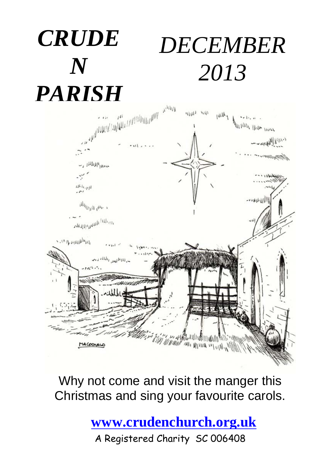## *CRUDE N DECEMBER 2013*



Why not come and visit the manger this Christmas and sing your favourite carols.

**[www.crudenchurch.org.uk](http://www.crudenchurch.org.uk/)**

A Registered Charity SC 006408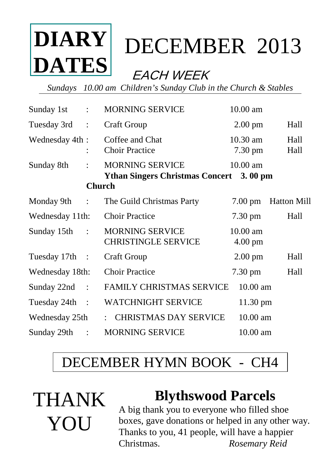

# DECEMBER2013

## EACH WEEK

*Sundays 10.00 am Children's Sunday Club in the Church & Stables*

| Sunday 1st      | $\ddot{\phantom{a}}$ | <b>MORNING SERVICE</b>                                                                    | 10.00 am                        |                    |
|-----------------|----------------------|-------------------------------------------------------------------------------------------|---------------------------------|--------------------|
| Tuesday 3rd     | $\ddot{\cdot}$       | <b>Craft Group</b>                                                                        | $2.00$ pm                       | Hall               |
| Wednesday 4th:  |                      | Coffee and Chat<br><b>Choir Practice</b>                                                  | $10.30$ am<br>$7.30 \text{ pm}$ | Hall<br>Hall       |
| Sunday 8th      | $\bullet$            | <b>MORNING SERVICE</b><br><b>Ythan Singers Christmas Concert</b> 3.00 pm<br><b>Church</b> | 10.00 am                        |                    |
| Monday 9th :    |                      | The Guild Christmas Party                                                                 | $7.00 \text{ pm}$               | <b>Hatton Mill</b> |
| Wednesday 11th: |                      | <b>Choir Practice</b>                                                                     | $7.30 \text{ pm}$               | Hall               |
| Sunday 15th:    |                      | <b>MORNING SERVICE</b><br><b>CHRISTINGLE SERVICE</b>                                      | 10.00 am<br>$4.00 \text{ pm}$   |                    |
| Tuesday 17th :  |                      | Craft Group                                                                               | $2.00 \text{ pm}$               | Hall               |
| Wednesday 18th: |                      | <b>Choir Practice</b>                                                                     | $7.30 \text{ pm}$               | Hall               |
| Sunday 22nd :   |                      | <b>FAMILY CHRISTMAS SERVICE</b>                                                           | $10.00$ am                      |                    |
| Tuesday 24th :  |                      | <b>WATCHNIGHT SERVICE</b>                                                                 | 11.30 pm                        |                    |
| Wednesday 25th  |                      | <b>CHRISTMAS DAY SERVICE</b><br>t.                                                        | 10.00 am                        |                    |
| Sunday 29th     | $\ddot{\phantom{a}}$ | <b>MORNING SERVICE</b>                                                                    | 10.00 am                        |                    |

## DECEMBER HYMN BOOK - CH4



### **Blythswood Parcels**

A big thank you to everyone who filled shoe boxes, gave donations or helped in any other way. Thanks to you, 41 people, will have a happier Christmas. *Rosemary Reid*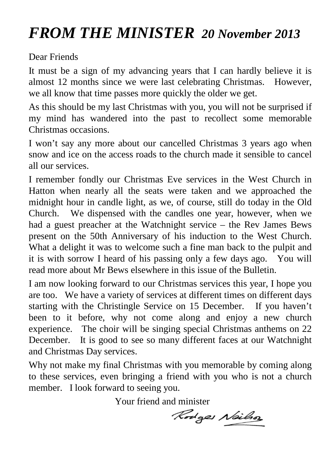## *FROM THE MINISTER 20 November 2013*

Dear Friends

It must be a sign of my advancing years that I can hardly believe it is almost 12 months since we were last celebrating Christmas. However, we all know that time passes more quickly the older we get.

As this should be my last Christmas with you, you will not be surprised if my mind has wandered into the past to recollect some memorable Christmas occasions.

I won't say any more about our cancelled Christmas 3 years ago when snow and ice on the access roads to the church made it sensible to cancel all our services.

I remember fondly our Christmas Eve services in the West Church in Hatton when nearly all the seats were taken and we approached the midnight hour in candle light, as we, of course, still do today in the Old Church. We dispensed with the candles one year, however, when we had a guest preacher at the Watchnight service – the Rev James Bews present on the 50th Anniversary of his induction to the West Church. What a delight it was to welcome such a fine man back to the pulpit and it is with sorrow I heard of his passing only a few days ago. You will read more about Mr Bews elsewhere in this issue of the Bulletin.

I am now looking forward to our Christmas services this year, I hope you are too. We have a variety of services at different times on different days starting with the Christingle Service on 15 December. If you haven't been to it before, why not come along and enjoy a new church experience. The choir will be singing special Christmas anthems on 22 December. It is good to see so many different faces at our Watchnight and Christmas Day services.

Why not make my final Christmas with you memorable by coming along to these services, even bringing a friend with you who is not a church member. I look forward to seeing you.

Your friend and minister

Rodges Neilson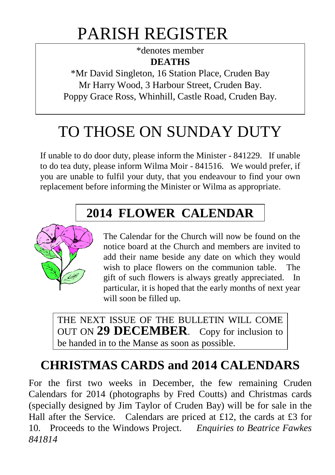## PARISH REGISTER

\*denotes member **DEATHS**

\*Mr David Singleton, 16 Station Place, Cruden Bay Mr Harry Wood, 3 Harbour Street, Cruden Bay. Poppy Grace Ross, Whinhill, Castle Road, Cruden Bay.

## TO THOSE ON SUNDAY DUTY

If unable to do door duty, please inform the Minister - 841229. If unable to do tea duty, please inform Wilma Moir - 841516. We would prefer, if you are unable to fulfil your duty, that you endeavour to find your own replacement before informing the Minister or Wilma as appropriate.

## **2014 FLOWER CALENDAR**



The Calendar for the Church will now be found on the notice board at the Church and members are invited to add their name beside any date on which they would wish to place flowers on the communion table. The gift of such flowers is always greatly appreciated. In particular, it is hoped that the early months of next year will soon be filled up.

THE NEXT ISSUE OF THE BULLETIN WILL COME OUT ON **29 DECEMBER**. Copy for inclusion to be handed in to the Manse as soon as possible.

### **CHRISTMAS CARDS and 2014 CALENDARS**

For the first two weeks in December, the few remaining Cruden Calendars for 2014 (photographs by Fred Coutts) and Christmas cards (specially designed by Jim Taylor of Cruden Bay) will be for sale in the Hall after the Service. Calendars are priced at £12, the cards at £3 for 10. Proceeds to the Windows Project. *Enquiries to Beatrice Fawkes 841814*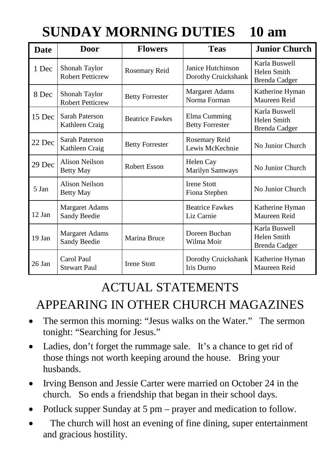## **SUNDAY MORNING DUTIES 10 am**

| <b>Date</b> | <b>Door</b>                              | <b>Flowers</b>         | <b>Teas</b>                              | <b>Junior Church</b>                                 |
|-------------|------------------------------------------|------------------------|------------------------------------------|------------------------------------------------------|
| 1 Dec       | Shonah Taylor<br><b>Robert Petticrew</b> | Rosemary Reid          | Janice Hutchinson<br>Dorothy Cruickshank | Karla Buswell<br>Helen Smith<br>Brenda Cadger        |
| 8 Dec       | Shonah Taylor<br><b>Robert Petticrew</b> | <b>Betty Forrester</b> | <b>Margaret Adams</b><br>Norma Forman    | Katherine Hyman<br>Maureen Reid                      |
| 15 Dec      | Sarah Paterson<br>Kathleen Craig         | <b>Beatrice Fawkes</b> | Elma Cumming<br><b>Betty Forrester</b>   | Karla Buswell<br>Helen Smith<br><b>Brenda Cadger</b> |
| 22 Dec      | Sarah Paterson<br>Kathleen Craig         | <b>Betty Forrester</b> | Rosemary Reid<br>Lewis McKechnie         | No Junior Church                                     |
| 29 Dec      | Alison Neilson<br>Betty May              | Robert Esson           | Helen Cay<br><b>Marilyn Samways</b>      | No Junior Church                                     |
| 5 Jan       | Alison Neilson<br>Betty May              |                        | <b>Irene Stott</b><br>Fiona Stephen      | No Junior Church                                     |
| 12 Jan      | <b>Margaret Adams</b><br>Sandy Beedie    |                        | <b>Beatrice Fawkes</b><br>Liz Carnie     | Katherine Hyman<br>Maureen Reid                      |
| $19$ Jan    | <b>Margaret Adams</b><br>Sandy Beedie    | Marina Bruce           | Doreen Buchan<br>Wilma Moir              | Karla Buswell<br>Helen Smith<br>Brenda Cadger        |
| 26 Jan      | Carol Paul<br><b>Stewart Paul</b>        | <b>Irene Stott</b>     | Dorothy Cruickshank<br>Iris Durno        | Katherine Hyman<br>Maureen Reid                      |

### ACTUAL STATEMENTS

### APPEARING IN OTHER CHURCH MAGAZINES

- The sermon this morning: "Jesus walks on the Water." The sermon tonight: "Searching for Jesus."
- Ladies, don't forget the rummage sale. It's a chance to get rid of those things not worth keeping around the house. Bring your husbands.
- Irving Benson and Jessie Carter were married on October 24 in the church. So ends a friendship that began in their school days.
- Potluck supper Sunday at 5 pm prayer and medication to follow.
- The church will host an evening of fine dining, super entertainment and gracious hostility.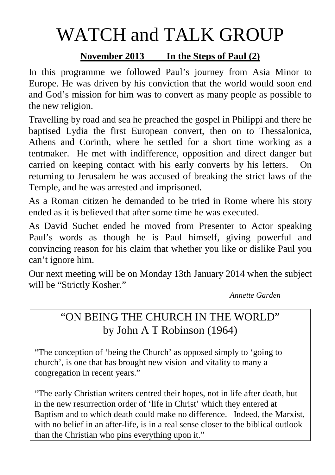# WATCH and TALK GROUP

#### **November 2013 In the Steps of Paul (2)**

In this programme we followed Paul's journey from Asia Minor to Europe. He was driven by his conviction that the world would soon end and God's mission for him was to convert as many people as possible to the new religion.

Travelling by road and sea he preached the gospel in Philippi and there he baptised Lydia the first European convert, then on to Thessalonica, Athens and Corinth, where he settled for a short time working as a tentmaker. He met with indifference, opposition and direct danger but carried on keeping contact with his early converts by his letters. On returning to Jerusalem he was accused of breaking the strict laws of the Temple, and he was arrested and imprisoned.

As a Roman citizen he demanded to be tried in Rome where his story ended as it is believed that after some time he was executed.

As David Suchet ended he moved from Presenter to Actor speaking Paul's words as though he is Paul himself, giving powerful and convincing reason for his claim that whether you like or dislike Paul you can't ignore him.

Our next meeting will be on Monday 13th January 2014 when the subject will be "Strictly Kosher."

*Annette Garden*

### "ON BEING THE CHURCH IN THE WORLD" by John A T Robinson (1964)

"The conception of 'being the Church' as opposed simply to 'going to church', is one that has brought new vision and vitality to many a congregation in recent years."

"The early Christian writers centred their hopes, not in life after death, but in the new resurrection order of 'life in Christ' which they entered at Baptism and to which death could make no difference. Indeed, the Marxist, with no belief in an after-life, is in a real sense closer to the biblical outlook than the Christian who pins everything upon it."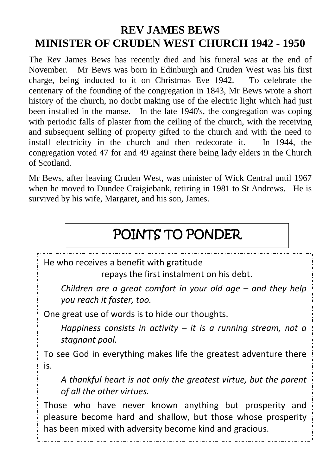### **REV JAMES BEWS MINISTER OF CRUDEN WEST CHURCH 1942 - 1950**

The Rev James Bews has recently died and his funeral was at the end of November. Mr Bews was born in Edinburgh and Cruden West was his first charge, being inducted to it on Christmas Eve 1942. To celebrate the centenary of the founding of the congregation in 1843, Mr Bews wrote a short history of the church, no doubt making use of the electric light which had just been installed in the manse. In the late 1940's, the congregation was coping with periodic falls of plaster from the ceiling of the church, with the receiving and subsequent selling of property gifted to the church and with the need to install electricity in the church and then redecorate it. In 1944, the congregation voted 47 for and 49 against there being lady elders in the Church of Scotland.

Mr Bews, after leaving Cruden West, was minister of Wick Central until 1967 when he moved to Dundee Craigiebank, retiring in 1981 to St Andrews. He is survived by his wife, Margaret, and his son, James.

## POINTS TO PONDER

He who receives a benefit with gratitude

repays the first instalment on his debt.

*Children are a great comfort in your old age – and they help you reach it faster, too.*

One great use of words is to hide our thoughts.

*Happiness consists in activity – it is a running stream, not a stagnant pool.*

To see God in everything makes life the greatest adventure there is.

*A thankful heart is not only the greatest virtue, but the parent of all the other virtues.*

Those who have never known anything but prosperity and pleasure become hard and shallow, but those whose prosperity has been mixed with adversity become kind and gracious.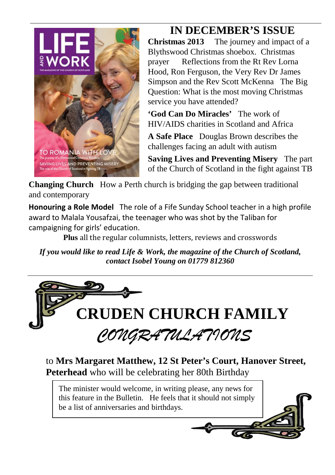

# **IN DECEMBER'S ISSUE**<br>Christmas 2013 The journey and impact

The journey and impact of a Blythswood Christmas shoebox. Christmas prayer Reflections from the Rt Rev Lorna Hood, Ron Ferguson, the Very Rev Dr James Simpson and the Rev Scott McKenna The Big Question: What is the most moving Christmas service you have attended?

**'God Can Do Miracles'** The work of HIV/AIDS charities in Scotland and Africa

**A Safe Place** Douglas Brown describes the challenges facing an adult with autism

**Saving Lives and Preventing Misery** The part of the Church of Scotland in the fight against TB

**Changing Church** How a Perth church is bridging the gap between traditional and contemporary

**Honouring a Role Model** The role of a Fife Sunday School teacher in a high profile award to Malala Yousafzai, the teenager who was shot by the Taliban for campaigning for girls' education.

**Plus** all the regular columnists, letters, reviews and crosswords

*If you would like to read Life & Work, the magazine of the Church of Scotland, contact Isobel Young on 01779 812360*



to **Mrs Margaret Matthew, 12 St Peter's Court, Hanover Street, Peterhead** who will be celebrating her 80th Birthday

The minister would welcome, in writing please, any news for this feature in the Bulletin. He feels that it should not simply be a list of anniversaries and birthdays.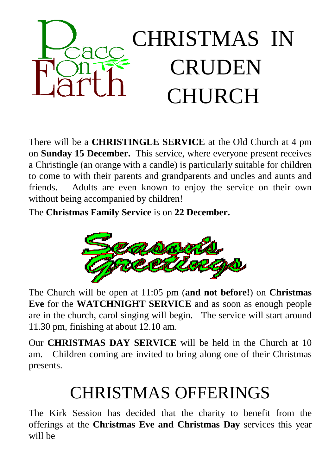

There will be a **CHRISTINGLE SERVICE** at the Old Church at 4 pm on **Sunday 15 December.** This service, where everyone present receives a Christingle (an orange with a candle) is particularly suitable for children to come to with their parents and grandparents and uncles and aunts and friends. Adults are even known to enjoy the service on their own without being accompanied by children!

The **Christmas Family Service** is on **22 December.**



The Church will be open at 11:05 pm (**and not before!**) on **Christmas Eve** for the **WATCHNIGHT SERVICE** and as soon as enough people are in the church, carol singing will begin. The service will start around 11.30 pm, finishing at about 12.10 am.

Our **CHRISTMAS DAY SERVICE** will be held in the Church at 10 am. Children coming are invited to bring along one of their Christmas presents.

## CHRISTMAS OFFERINGS

The Kirk Session has decided that the charity to benefit from the offerings at the **Christmas Eve and Christmas Day** services this year will be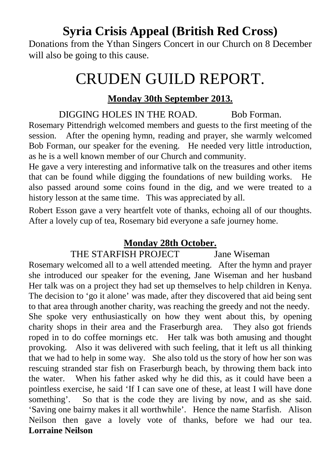### **Syria Crisis Appeal (British Red Cross)**

Donations from the Ythan Singers Concert in our Church on 8 December will also be going to this cause.

## CRUDEN GUILD REPORT.

#### **Monday 30th September 2013.**

DIGGING HOLES IN THE ROAD. Bob Forman. Rosemary Pittendrigh welcomed members and guests to the first meeting of the session. After the opening hymn, reading and prayer, she warmly welcomed Bob Forman, our speaker for the evening. He needed very little introduction, as he is a well known member of our Church and community.

He gave a very interesting and informative talk on the treasures and other items that can be found while digging the foundations of new building works. He also passed around some coins found in the dig, and we were treated to a history lesson at the same time. This was appreciated by all.

Robert Esson gave a very heartfelt vote of thanks, echoing all of our thoughts. After a lovely cup of tea, Rosemary bid everyone a safe journey home.

#### **Monday 28th October.**

THE STARFISH PROJECT Jane Wiseman

Rosemary welcomed all to a well attended meeting. After the hymn and prayer she introduced our speaker for the evening, Jane Wiseman and her husband Her talk was on a project they had set up themselves to help children in Kenya. The decision to 'go it alone' was made, after they discovered that aid being sent to that area through another charity, was reaching the greedy and not the needy. She spoke very enthusiastically on how they went about this, by opening charity shops in their area and the Fraserburgh area. They also got friends roped in to do coffee mornings etc. Her talk was both amusing and thought provoking. Also it was delivered with such feeling, that it left us all thinking that we had to help in some way. She also told us the story of how her son was rescuing stranded star fish on Fraserburgh beach, by throwing them back into the water. When his father asked why he did this, as it could have been a pointless exercise, he said 'If I can save one of these, at least I will have done something'. So that is the code they are living by now, and as she said.

'Saving one bairny makes it all worthwhile'. Hence the name Starfish. Alison Neilson then gave a lovely vote of thanks, before we had our tea. **Lorraine Neilson**